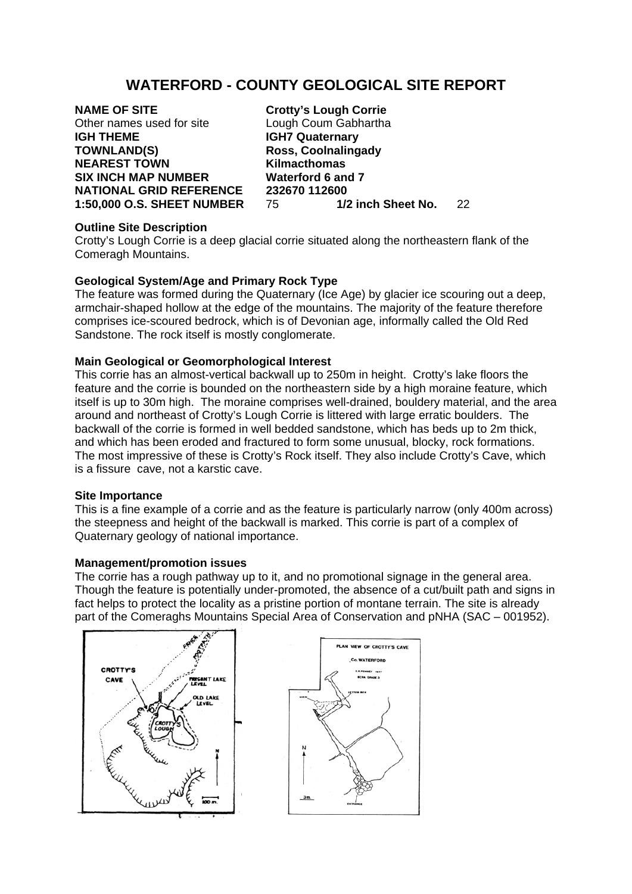# **WATERFORD - COUNTY GEOLOGICAL SITE REPORT**

**NAME OF SITE Crotty's Lough Corrie**<br>
Other names used for site Lough Coum Gabhartha Other names used for site **IGH THEME IGH7 Quaternary TOWNLAND(S) Ross, Coolnalingady NEAREST TOWN Kilmacthomas SIX INCH MAP NUMBER Waterford 6 and 7** 

**NATIONAL GRID REFERENCE 232670 112600**<br>1:50,000 O.S. SHEET NUMBER 75 1/2 inch Sheet No. **1:50,000 O.S. SHEET NUMBER** 75 **1/2 inch Sheet No.** 22

### **Outline Site Description**

Crotty's Lough Corrie is a deep glacial corrie situated along the northeastern flank of the Comeragh Mountains.

## **Geological System/Age and Primary Rock Type**

The feature was formed during the Quaternary (Ice Age) by glacier ice scouring out a deep, armchair-shaped hollow at the edge of the mountains. The majority of the feature therefore comprises ice-scoured bedrock, which is of Devonian age, informally called the Old Red Sandstone. The rock itself is mostly conglomerate.

## **Main Geological or Geomorphological Interest**

This corrie has an almost-vertical backwall up to 250m in height. Crotty's lake floors the feature and the corrie is bounded on the northeastern side by a high moraine feature, which itself is up to 30m high. The moraine comprises well-drained, bouldery material, and the area around and northeast of Crotty's Lough Corrie is littered with large erratic boulders. The backwall of the corrie is formed in well bedded sandstone, which has beds up to 2m thick, and which has been eroded and fractured to form some unusual, blocky, rock formations. The most impressive of these is Crotty's Rock itself. They also include Crotty's Cave, which is a fissure cave, not a karstic cave.

### **Site Importance**

This is a fine example of a corrie and as the feature is particularly narrow (only 400m across) the steepness and height of the backwall is marked. This corrie is part of a complex of Quaternary geology of national importance.

### **Management/promotion issues**

The corrie has a rough pathway up to it, and no promotional signage in the general area. Though the feature is potentially under-promoted, the absence of a cut/built path and signs in fact helps to protect the locality as a pristine portion of montane terrain. The site is already part of the Comeraghs Mountains Special Area of Conservation and pNHA (SAC – 001952).



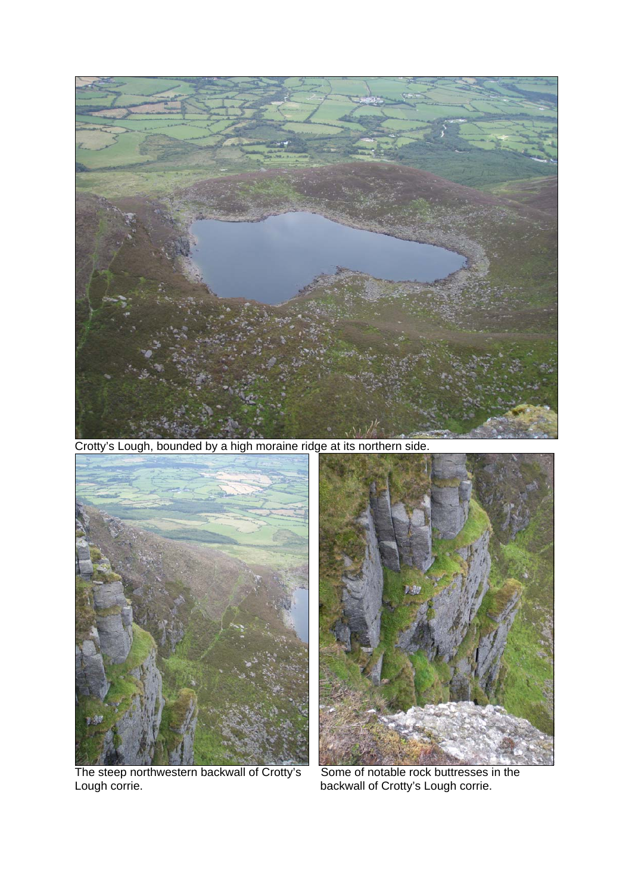

Crotty's Lough, bounded by a high moraine ridge at its northern side.



Lough corrie. backwall of Crotty's Lough corrie.